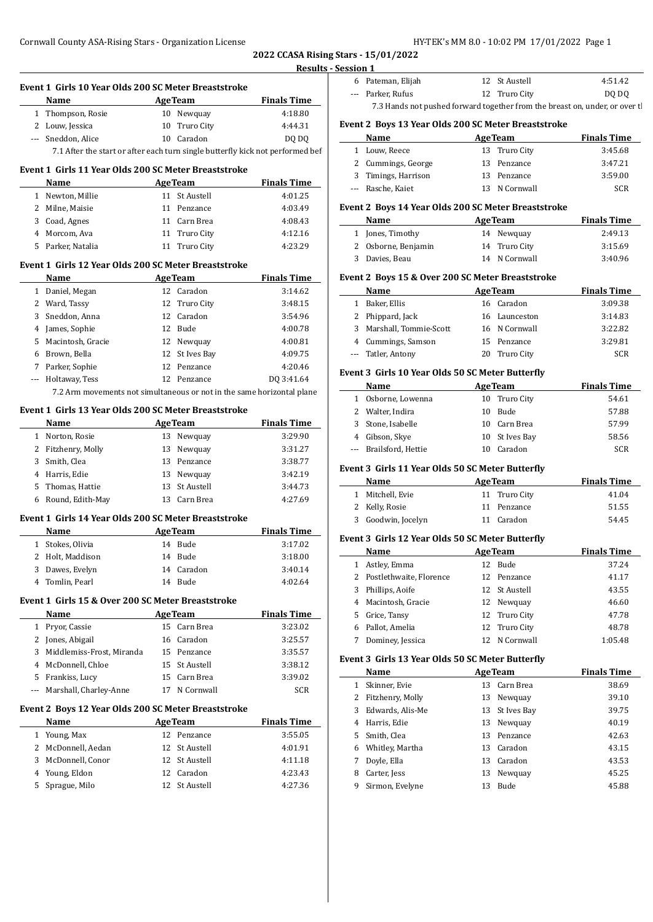**2022 CCASA Rising Stars -Results - Session** 

|   | Event 1 Girls 10 Year Olds 200 SC Meter Breaststroke                                                                                                                                                                           |                |                | <b>Example 1</b> Finals Time |
|---|--------------------------------------------------------------------------------------------------------------------------------------------------------------------------------------------------------------------------------|----------------|----------------|------------------------------|
|   | Name                                                                                                                                                                                                                           | <b>AgeTeam</b> |                |                              |
|   | 1 Thompson, Rosie                                                                                                                                                                                                              |                | 10 Newquay     | 4:18.80                      |
|   | 2 Louw, Jessica                                                                                                                                                                                                                |                | 10 Truro City  | 4:44.31                      |
|   | --- Sneddon, Alice                                                                                                                                                                                                             |                | 10 Caradon     | DQ DQ                        |
|   | 7.1 After the start or after each turn single butterfly kick not performed bef                                                                                                                                                 |                |                |                              |
|   | Event 1 Girls 11 Year Olds 200 SC Meter Breaststroke                                                                                                                                                                           |                |                |                              |
|   | Name and the state of the state of the state of the state of the state of the state of the state of the state of the state of the state of the state of the state of the state of the state of the state of the state of the s |                | <b>AgeTeam</b> | <b>Finals Time</b>           |
|   | 1 Newton, Millie                                                                                                                                                                                                               |                | 11 St Austell  | 4:01.25                      |
|   | 2 Milne, Maisie                                                                                                                                                                                                                |                | 11 Penzance    | 4:03.49                      |
|   | 3 Coad, Agnes                                                                                                                                                                                                                  |                | 11 Carn Brea   | 4:08.43                      |
|   | 4 Morcom, Ava                                                                                                                                                                                                                  |                | 11 Truro City  | 4:12.16                      |
|   | 5 Parker, Natalia                                                                                                                                                                                                              |                | 11 Truro City  | 4:23.29                      |
|   |                                                                                                                                                                                                                                |                |                |                              |
|   | Event 1 Girls 12 Year Olds 200 SC Meter Breaststroke                                                                                                                                                                           |                |                |                              |
|   | Name                                                                                                                                                                                                                           | <b>AgeTeam</b> |                | <b>Finals Time</b>           |
|   | 1 Daniel, Megan                                                                                                                                                                                                                |                | 12 Caradon     | 3:14.62                      |
|   | 2 Ward, Tassy                                                                                                                                                                                                                  |                | 12 Truro City  | 3:48.15                      |
|   | 3 Sneddon, Anna                                                                                                                                                                                                                |                | 12 Caradon     | 3:54.96                      |
|   | 4 James, Sophie                                                                                                                                                                                                                | 12 Bude        |                | 4:00.78                      |
|   | 5 Macintosh, Gracie                                                                                                                                                                                                            |                | 12 Newquay     | 4:00.81                      |
|   | 6 Brown, Bella                                                                                                                                                                                                                 |                | 12 St Ives Bay | 4:09.75                      |
|   | 7 Parker, Sophie                                                                                                                                                                                                               |                | 12 Penzance    | 4:20.46                      |
|   | --- Holtaway, Tess                                                                                                                                                                                                             |                | 12 Penzance    | DQ 3:41.64                   |
|   | 7.2 Arm movements not simultaneous or not in the same horizontal plane                                                                                                                                                         |                |                |                              |
|   | Event 1 Girls 13 Year Olds 200 SC Meter Breaststroke                                                                                                                                                                           |                |                |                              |
|   | Name<br><u> 1999 - Johann Barnett, fransk politik (</u>                                                                                                                                                                        | <b>AgeTeam</b> |                | <b>Finals Time</b>           |
|   | 1 Norton, Rosie                                                                                                                                                                                                                |                | 13 Newquay     | 3:29.90                      |
|   | 2 Fitzhenry, Molly                                                                                                                                                                                                             |                | 13 Newquay     | 3:31.27                      |
|   |                                                                                                                                                                                                                                |                |                |                              |
|   |                                                                                                                                                                                                                                |                |                |                              |
|   | 3 Smith, Clea                                                                                                                                                                                                                  |                | 13 Penzance    | 3:38.77                      |
|   | 4 Harris, Edie                                                                                                                                                                                                                 |                | 13 Newquay     | 3:42.19                      |
|   | 5 Thomas, Hattie                                                                                                                                                                                                               |                | 13 St Austell  | 3:44.73                      |
|   | 6 Round, Edith-May                                                                                                                                                                                                             |                | 13 Carn Brea   | 4:27.69                      |
|   | Event 1 Girls 14 Year Olds 200 SC Meter Breaststroke                                                                                                                                                                           |                |                |                              |
|   | Name                                                                                                                                                                                                                           | <b>AgeTeam</b> |                | <b>Finals Time</b>           |
|   | 1 Stokes, Olivia                                                                                                                                                                                                               | 14 Bude        |                | 3:17.02                      |
|   | 2 Holt, Maddison                                                                                                                                                                                                               | 14 Bude        |                | 3:18.00                      |
|   | 3 Dawes, Evelyn                                                                                                                                                                                                                |                | 14 Caradon     | 3:40.14                      |
| 4 | Tomlin, Pearl                                                                                                                                                                                                                  | 14 Bude        |                | 4:02.64                      |
|   |                                                                                                                                                                                                                                |                |                |                              |
|   | Event 1 Girls 15 & Over 200 SC Meter Breaststroke                                                                                                                                                                              |                |                |                              |
|   | Name                                                                                                                                                                                                                           | <b>AgeTeam</b> |                | <b>Finals Time</b>           |
|   | 1 Pryor, Cassie                                                                                                                                                                                                                |                | 15 Carn Brea   | 3:23.02                      |
|   | 2 Jones, Abigail                                                                                                                                                                                                               |                | 16 Caradon     | 3:25.57                      |
|   | 3 Middlemiss-Frost, Miranda                                                                                                                                                                                                    |                | 15 Penzance    | 3:35.57                      |
|   | 4 McDonnell, Chloe                                                                                                                                                                                                             |                | 15 St Austell  | 3:38.12                      |
|   | 5 Frankiss, Lucy                                                                                                                                                                                                               |                | 15 Carn Brea   | 3:39.02                      |
|   | --- Marshall, Charley-Anne                                                                                                                                                                                                     |                | 17 N Cornwall  | SCR                          |
|   | Event 2 Boys 12 Year Olds 200 SC Meter Breaststroke                                                                                                                                                                            |                |                |                              |
|   | Name                                                                                                                                                                                                                           | <b>AgeTeam</b> |                | <b>Finals Time</b>           |
|   | 1 Young, Max                                                                                                                                                                                                                   |                | 12 Penzance    | 3:55.05                      |
|   | 2 McDonnell, Aedan                                                                                                                                                                                                             |                | 12 St Austell  | 4:01.91                      |
|   | 3 McDonnell, Conor                                                                                                                                                                                                             |                | 12 St Austell  | 4:11.18                      |
|   | 4 Young, Eldon                                                                                                                                                                                                                 |                | 12 Caradon     | 4:23.43                      |

|              |                                                                             |    | HI-IEN SMM 8.0 - 10.02 PM 1/01/2022 Page 1 |                    |
|--------------|-----------------------------------------------------------------------------|----|--------------------------------------------|--------------------|
|              | Stars - 15/01/2022                                                          |    |                                            |                    |
| Session 1    |                                                                             |    |                                            |                    |
|              | 6 Pateman, Elijah                                                           |    | 12 St Austell                              | 4:51.42            |
| ---          | Parker, Rufus                                                               | 12 | Truro City                                 | DQ DQ              |
|              | 7.3 Hands not pushed forward together from the breast on, under, or over tl |    |                                            |                    |
|              | Event 2 Boys 13 Year Olds 200 SC Meter Breaststroke                         |    |                                            |                    |
|              | Name                                                                        |    | <b>AgeTeam</b>                             | <b>Finals Time</b> |
|              | 1 Louw, Reece                                                               |    | 13 Truro City                              | 3:45.68            |
| 2            | Cummings, George                                                            | 13 | Penzance                                   | 3:47.21            |
| 3            | Timings, Harrison                                                           |    | 13 Penzance                                | 3:59.00            |
|              | Rasche, Kaiet                                                               |    | 13 N Cornwall                              | <b>SCR</b>         |
|              | Event 2 Boys 14 Year Olds 200 SC Meter Breaststroke                         |    |                                            |                    |
|              | Name                                                                        |    | <b>AgeTeam</b>                             | <b>Finals Time</b> |
| 1            | Jones, Timothy                                                              |    | 14 Newquay                                 | 2:49.13            |
| 2            | Osborne, Benjamin                                                           |    | 14 Truro City                              | 3:15.69            |
| 3            | Davies, Beau                                                                |    | 14 N Cornwall                              | 3:40.96            |
|              | Event 2 Boys 15 & Over 200 SC Meter Breaststroke                            |    |                                            |                    |
|              | Name                                                                        |    | <b>AgeTeam</b>                             | <b>Finals Time</b> |
| $\mathbf{1}$ | Baker, Ellis                                                                |    | 16 Caradon                                 | 3:09.38            |
|              |                                                                             |    |                                            |                    |

| 1 Baker, Ellis           | 16 Caradon    | 3:09.38 |
|--------------------------|---------------|---------|
| 2 Phippard, Jack         | 16 Launceston | 3:14.83 |
| 3 Marshall, Tommie-Scott | 16 N Cornwall | 3:22.82 |
| 4 Cummings, Samson       | 15 Penzance   | 3:29.81 |
| --- Tatler, Antony       | 20 Truro City | SCR     |

# **Event 3 Girls 10 Year Olds 50 SC Meter Butterfly**

| Name |                        |     | <b>AgeTeam</b> | <b>Finals Time</b> |  |
|------|------------------------|-----|----------------|--------------------|--|
| 1.   | Osborne, Lowenna       |     | 10 Truro City  | 54.61              |  |
|      | 2 Walter, Indira       | 10. | Bude           | 57.88              |  |
|      | 3 Stone, Isabelle      |     | 10 Carn Brea   | 57.99              |  |
|      | 4 Gibson, Skye         |     | 10 St Ives Bay | 58.56              |  |
|      | --- Brailsford, Hettie | 10  | Caradon        | <b>SCR</b>         |  |

# **Event 3 Girls 11 Year Olds 50 SC Meter Butterfly**

| Name               | <b>AgeTeam</b> | <b>Finals Time</b> |
|--------------------|----------------|--------------------|
| 1 Mitchell, Evie   | 11 Truro City  | 41.04              |
| 2 Kelly, Rosie     | 11 Penzance    | 51.55              |
| 3 Goodwin, Jocelyn | 11 Caradon     | 54.45              |

# **Event 3 Girls 12 Year Olds 50 SC Meter Butterfly**

|   | Name                      | <b>AgeTeam</b> |               | <b>Finals Time</b> |
|---|---------------------------|----------------|---------------|--------------------|
| 1 | Astley, Emma              |                | 12 Bude       | 37.24              |
|   | 2 Postlethwaite, Florence |                | 12 Penzance   | 41.17              |
| 3 | Phillips, Aoife           |                | 12 St Austell | 43.55              |
|   | 4 Macintosh, Gracie       |                | 12 Newquay    | 46.60              |
|   | 5 Grice, Tansy            |                | 12 Truro City | 47.78              |
| 6 | Pallot, Amelia            |                | 12 Truro City | 48.78              |
|   | Dominey, Jessica          | 12.            | N Cornwall    | 1:05.48            |

# **Event 3 Girls 13 Year Olds 50 SC Meter Butterfly**

|              | Name             | <b>AgeTeam</b> |                | <b>Finals Time</b> |
|--------------|------------------|----------------|----------------|--------------------|
| 1            | Skinner, Evie    | 13             | Carn Brea      | 38.69              |
| $\mathbf{2}$ | Fitzhenry, Molly | 13             | Newguay        | 39.10              |
| 3            | Edwards, Alis-Me |                | 13 St Ives Bay | 39.75              |
| 4            | Harris, Edie     |                | 13 Newquay     | 40.19              |
| 5            | Smith, Clea      | 13             | Penzance       | 42.63              |
| 6            | Whitley, Martha  | 13             | Caradon        | 43.15              |
| 7            | Doyle, Ella      | 13             | Caradon        | 43.53              |
| 8            | Carter, Jess     | 13             | Newguay        | 45.25              |
| 9            | Sirmon, Evelyne  | 13             | <b>Bude</b>    | 45.88              |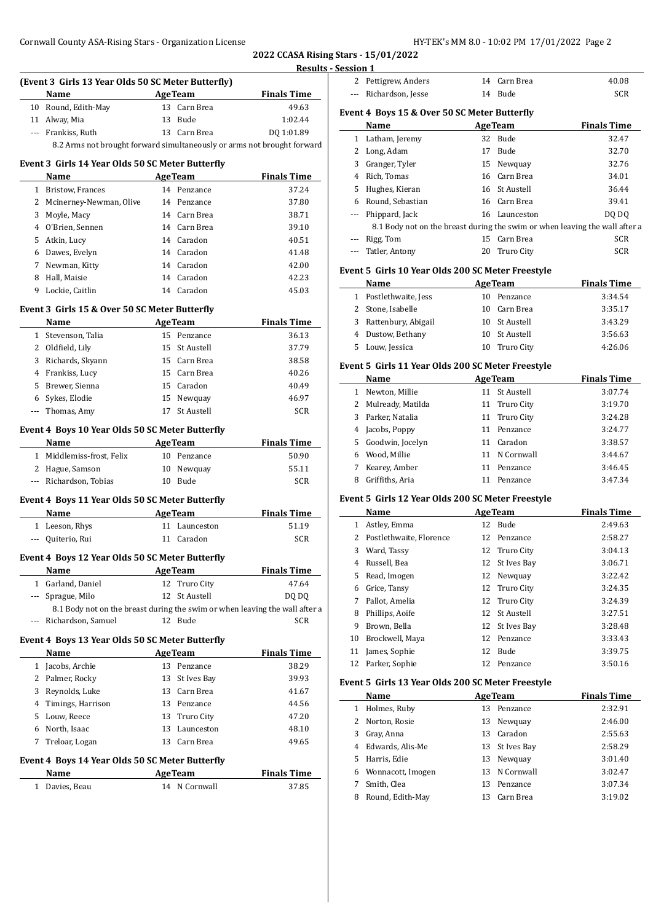**2022 CCASA Rising Stars - 15/01/2022 Results - Session 1**

|          | (Event 3 Girls 13 Year Olds 50 SC Meter Butterfly)                          |         |                               |                    | 2 Pet            |     |
|----------|-----------------------------------------------------------------------------|---------|-------------------------------|--------------------|------------------|-----|
|          | Name                                                                        | AgeTeam |                               | <b>Finals Time</b> | --- Ric          |     |
|          | 10 Round, Edith-May                                                         |         | 13 Carn Brea                  | 49.63              |                  |     |
|          | 11 Alway, Mia                                                               |         | 13 Bude                       | 1:02.44            | Event 4 1        |     |
|          | --- Frankiss, Ruth                                                          |         | 13 Carn Brea                  | DQ 1:01.89         |                  | Na  |
|          | 8.2 Arms not brought forward simultaneously or arms not brought forward     |         |                               |                    | 1 Lat            |     |
|          |                                                                             |         |                               |                    | 2 Lor            |     |
|          | Event 3 Girls 14 Year Olds 50 SC Meter Butterfly                            |         |                               |                    | 3 Gra<br>4 Ric   |     |
|          | Name                                                                        |         | <b>AgeTeam</b><br>14 Penzance | <b>Finals Time</b> | 5 Hu             |     |
|          | 1 Bristow, Frances                                                          |         |                               | 37.24<br>37.80     |                  |     |
|          | 2 Mcinerney-Newman, Olive                                                   |         | 14 Penzance                   |                    | 6 Rot<br>--- Phi |     |
|          | 3 Moyle, Macy                                                               |         | 14 Carn Brea                  | 38.71              |                  | 8   |
|          | 4 O'Brien, Sennen                                                           |         | 14 Carn Brea                  | 39.10              |                  |     |
|          | 5 Atkin, Lucy                                                               |         | 14 Caradon                    | 40.51              | --- Rig          | Tat |
|          | 6 Dawes, Evelyn                                                             |         | 14 Caradon                    | 41.48              |                  |     |
|          | 7 Newman, Kitty                                                             |         | 14 Caradon                    | 42.00              | Event 5          |     |
|          | 8 Hall, Maisie                                                              |         | 14 Caradon                    | 42.23              |                  | Na  |
|          | 9 Lockie, Caitlin                                                           |         | 14 Caradon                    | 45.03              | 1 Pos            |     |
|          | Event 3 Girls 15 & Over 50 SC Meter Butterfly                               |         |                               |                    | 2 Sto            |     |
|          | Name<br><b>Example 2</b> AgeTeam                                            |         |                               | <b>Finals Time</b> | 3 Rat            |     |
|          | 1 Stevenson, Talia                                                          |         | 15 Penzance                   | 36.13              | 4 Du             |     |
|          | 2 Oldfield, Lily                                                            |         | 15 St Austell                 | 37.79              | 5 Lou            |     |
|          | 3 Richards, Skyann                                                          |         | 15 Carn Brea                  | 38.58              |                  |     |
|          | 4 Frankiss, Lucy                                                            |         | 15 Carn Brea                  | 40.26              | Event 5          |     |
|          | 5 Brewer, Sienna                                                            |         | 15 Caradon                    | 40.49              |                  | Na  |
|          | 6 Sykes, Elodie                                                             |         | 15 Newquay                    | 46.97              | 1 Ne             |     |
|          | --- Thomas, Amy                                                             |         | 17 St Austell                 | SCR                | 2 Mu             |     |
|          |                                                                             |         |                               |                    | 3 Par            |     |
|          | <b>Event 4 Boys 10 Year Olds 50 SC Meter Butterfly</b>                      |         |                               |                    | 4 Jac            |     |
|          | Name                                                                        |         | <b>AgeTeam</b>                | <b>Finals Time</b> | $5$ $Go$         |     |
|          | 1 Middlemiss-frost, Felix                                                   |         | 10 Penzance                   | 50.90              | 6 Wo             |     |
|          | 2 Hague, Samson                                                             |         | 10 Newquay                    | 55.11              | 7 Kea            |     |
|          | --- Richardson, Tobias                                                      |         | 10 Bude                       | SCR                | 8                | Gri |
|          | Event 4 Boys 11 Year Olds 50 SC Meter Butterfly                             |         |                               |                    | Event 5          |     |
|          | Name<br>AgeTeam                                                             |         |                               | <b>Finals Time</b> |                  | Na  |
|          | 1 Leeson, Rhys                                                              |         | 11 Launceston                 | 51.19              | 1 Ast            |     |
|          | --- Quiterio, Rui                                                           |         | 11 Caradon                    | SCR                | $2 P$ os         |     |
|          |                                                                             |         |                               |                    | 3 Wa             |     |
|          | Event 4 Boys 12 Year Olds 50 SC Meter Butterfly                             |         |                               |                    | 4 Ru:            |     |
|          | <b>Name</b>                                                                 |         | <b>AgeTeam</b>                | <b>Finals Time</b> | 5 Rea            |     |
|          | 1 Garland, Daniel                                                           |         | 12 Truro City                 | 47.64              | 6                | Gri |
|          | --- Sprague, Milo                                                           |         | 12 St Austell                 | DQ DQ              | 7 Pal            |     |
|          | 8.1 Body not on the breast during the swim or when leaving the wall after a |         |                               |                    | 8                | Phi |
| $\cdots$ | Richardson, Samuel                                                          |         | 12 Bude                       | SCR                | 9                | Bro |
|          | Event 4 Boys 13 Year Olds 50 SC Meter Butterfly                             |         |                               |                    | 10               | Bro |
|          | Name                                                                        |         | <b>AgeTeam</b>                | <b>Finals Time</b> | 11               | Jan |
|          | 1 Jacobs, Archie                                                            |         | 13 Penzance                   | 38.29              | 12               | Par |
|          | 2 Palmer, Rocky                                                             |         | 13 St Ives Bay                | 39.93              |                  |     |
|          | 3 Reynolds, Luke                                                            |         | 13 Carn Brea                  | 41.67              | Event 5          |     |
|          | 4 Timings, Harrison                                                         |         | 13 Penzance                   | 44.56              |                  | Na  |
|          | 5 Louw, Reece                                                               |         | 13 Truro City                 | 47.20              | 1 Ho             |     |
|          | 6 North, Isaac                                                              |         | 13 Launceston                 | 48.10              | 2 No             |     |
|          | 7 Treloar, Logan                                                            |         | 13 Carn Brea                  | 49.65              | $3$ Gra          |     |
|          |                                                                             |         |                               |                    | 4 Ed             |     |
|          | Event 4 Boys 14 Year Olds 50 SC Meter Butterfly                             |         |                               |                    | 5 Ha             |     |
|          | Name                                                                        |         | <b>AgeTeam</b>                | <b>Finals Time</b> | 6 Wo             |     |
|          | 1 Davies, Beau                                                              |         | 14 N Cornwall                 | 37.85              | 7 Sm             |     |
|          |                                                                             |         |                               |                    | 8 Rot            |     |

| ncaalon T |                                                   |    |                |                                                                             |
|-----------|---------------------------------------------------|----|----------------|-----------------------------------------------------------------------------|
|           | 2 Pettigrew, Anders                               |    | 14 Carn Brea   | 40.08                                                                       |
|           | --- Richardson, Jesse                             |    | 14 Bude        | SCR                                                                         |
|           |                                                   |    |                |                                                                             |
|           | Event 4 Boys 15 & Over 50 SC Meter Butterfly      |    |                |                                                                             |
|           | Name                                              |    | <b>AgeTeam</b> | <b>Finals Time</b><br>32.47                                                 |
|           | 1 Latham, Jeremy                                  |    | 32 Bude        |                                                                             |
|           | 2 Long, Adam                                      |    | 17 Bude        | 32.70                                                                       |
|           | 3 Granger, Tyler                                  |    | 15 Newquay     | 32.76                                                                       |
|           | 4 Rich, Tomas                                     |    | 16 Carn Brea   | 34.01                                                                       |
|           | 5 Hughes, Kieran                                  |    | 16 St Austell  | 36.44                                                                       |
|           | 6 Round, Sebastian                                |    | 16 Carn Brea   | 39.41                                                                       |
| ---       | Phippard, Jack                                    |    | 16 Launceston  | DQ DQ                                                                       |
|           |                                                   |    |                | 8.1 Body not on the breast during the swim or when leaving the wall after a |
| ---       | Rigg, Tom                                         |    | 15 Carn Brea   | SCR                                                                         |
|           | --- Tatler, Antony                                |    | 20 Truro City  | <b>SCR</b>                                                                  |
|           | Event 5 Girls 10 Year Olds 200 SC Meter Freestyle |    |                |                                                                             |
|           | Name                                              |    | <b>AgeTeam</b> | <b>Finals Time</b>                                                          |
|           | 1 Postlethwaite, Jess                             |    | 10 Penzance    | 3:34.54                                                                     |
|           | 2 Stone, Isabelle                                 |    | 10 Carn Brea   | 3:35.17                                                                     |
|           | 3 Rattenbury, Abigail                             |    | 10 St Austell  | 3:43.29                                                                     |
|           | 4 Dustow, Bethany                                 |    | 10 St Austell  | 3:56.63                                                                     |
| 5.        | Louw, Jessica                                     |    | 10 Truro City  | 4:26.06                                                                     |
|           |                                                   |    |                |                                                                             |
|           | Event 5 Girls 11 Year Olds 200 SC Meter Freestyle |    |                |                                                                             |
|           | Name                                              |    | <b>AgeTeam</b> | <b>Finals Time</b>                                                          |
|           | 1 Newton, Millie                                  |    | 11 St Austell  | 3:07.74                                                                     |
|           | 2 Mulready, Matilda                               |    | 11 Truro City  | 3:19.70                                                                     |
|           | 3 Parker, Natalia                                 |    | 11 Truro City  | 3:24.28                                                                     |
|           | 4 Jacobs, Poppy                                   |    | 11 Penzance    | 3:24.77                                                                     |
|           | 5 Goodwin, Jocelyn                                |    | 11 Caradon     | 3:38.57                                                                     |
|           | 6 Wood, Millie                                    |    | 11 N Cornwall  | 3:44.67                                                                     |
| 7         | Kearey, Amber                                     |    | 11 Penzance    | 3:46.45                                                                     |
| 8         | Griffiths, Aria                                   |    | 11 Penzance    | 3:47.34                                                                     |
|           | Event 5 Girls 12 Year Olds 200 SC Meter Freestyle |    |                |                                                                             |
|           | Name                                              |    | <b>AgeTeam</b> | <b>Finals Time</b>                                                          |
|           | 1 Astley, Emma                                    |    | 12 Bude        | 2:49.63                                                                     |
|           | 2 Postlethwaite, Florence                         |    | 12 Penzance    | 2:58.27                                                                     |
|           | 3 Ward, Tassy                                     |    | 12 Truro City  | 3:04.13                                                                     |
|           | 4 Russell, Bea                                    |    | 12 St Ives Bay | 3:06.71                                                                     |
| 5         | Read, Imogen                                      |    | 12 Newquay     | 3:22.42                                                                     |
| 6         | Grice, Tansy                                      | 12 | Truro City     | 3:24.35                                                                     |
| 7         | Pallot, Amelia                                    | 12 | Truro City     | 3:24.39                                                                     |
| 8         | Phillips, Aoife                                   | 12 | St Austell     | 3:27.51                                                                     |
| 9         | Brown, Bella                                      | 12 | St Ives Bay    | 3:28.48                                                                     |
| 10        | Brockwell, Maya                                   | 12 | Penzance       | 3:33.43                                                                     |
| 11        | James, Sophie                                     | 12 | Bude           | 3:39.75                                                                     |
| 12        | Parker, Sophie                                    | 12 | Penzance       | 3:50.16                                                                     |
|           |                                                   |    |                |                                                                             |
|           | Event 5 Girls 13 Year Olds 200 SC Meter Freestyle |    |                |                                                                             |
|           | Name                                              |    | <b>AgeTeam</b> | <b>Finals Time</b>                                                          |
|           | 1 Holmes, Ruby                                    |    | 13 Penzance    | 2:32.91                                                                     |
| 2         | Norton, Rosie                                     | 13 | Newquay        | 2:46.00                                                                     |
| 3         | Gray, Anna                                        | 13 | Caradon        | 2:55.63                                                                     |
|           | 4 Edwards, Alis-Me                                | 13 | St Ives Bay    | 2:58.29                                                                     |
| 5         | Harris, Edie                                      | 13 | Newquay        | 3:01.40                                                                     |
| 6         | Wonnacott, Imogen                                 | 13 | N Cornwall     | 3:02.47                                                                     |
| 7         | Smith, Clea                                       | 13 | Penzance       | 3:07.34                                                                     |
| 8         | Round, Edith-May                                  | 13 | Carn Brea      | 3:19.02                                                                     |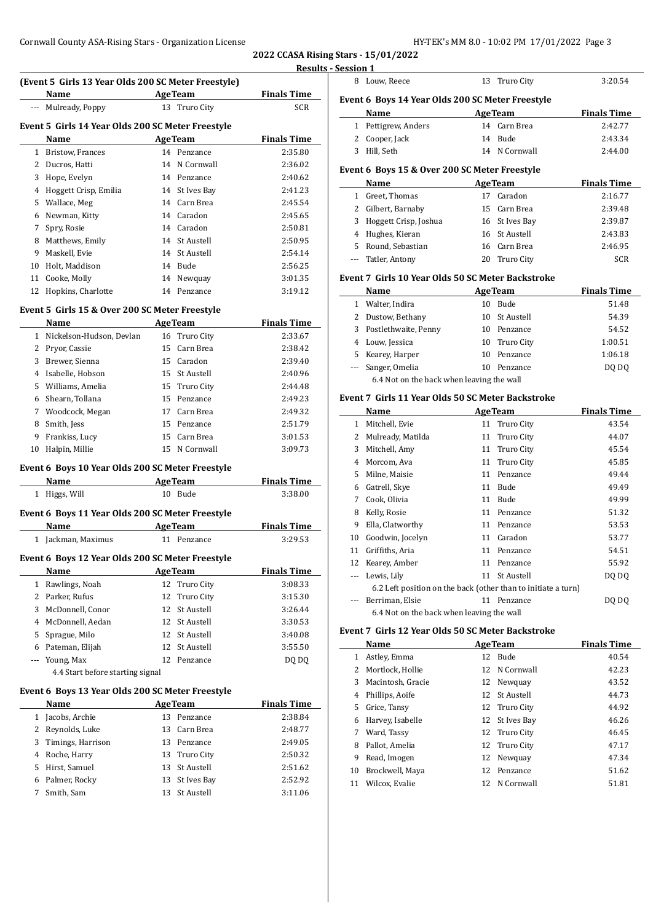**2022 CCASA Rising Stars - 15/01/2022 Results - Session 1**

# **(Event 5 Girls 13 Year Olds 200 SC Meter Freestyle)**

| (Event 5 GHTs 15 real Olds 200 SC Meter Preestyle) |                                                   |    |                |                    |  |  |
|----------------------------------------------------|---------------------------------------------------|----|----------------|--------------------|--|--|
|                                                    | Name                                              |    | <b>AgeTeam</b> | <b>Finals Time</b> |  |  |
|                                                    | Mulready, Poppy                                   |    | 13 Truro City  | <b>SCR</b>         |  |  |
|                                                    | Event 5 Girls 14 Year Olds 200 SC Meter Freestyle |    |                |                    |  |  |
|                                                    | Name                                              |    | <b>AgeTeam</b> | <b>Finals Time</b> |  |  |
| 1                                                  | Bristow, Frances                                  | 14 | Penzance       | 2:35.80            |  |  |
| 2                                                  | Ducros, Hatti                                     |    | 14 N Cornwall  | 2:36.02            |  |  |
| 3                                                  | Hope, Evelyn                                      |    | 14 Penzance    | 2:40.62            |  |  |
| 4                                                  | Hoggett Crisp, Emilia                             |    | 14 St Ives Bay | 2:41.23            |  |  |
| 5                                                  | Wallace, Meg                                      |    | 14 Carn Brea   | 2:45.54            |  |  |
| 6                                                  | Newman, Kitty                                     | 14 | Caradon        | 2:45.65            |  |  |
| 7                                                  | Spry, Rosie                                       | 14 | Caradon        | 2:50.81            |  |  |
| 8                                                  | Matthews, Emily                                   |    | 14 St Austell  | 2:50.95            |  |  |
| 9                                                  | Maskell, Evie                                     |    | 14 St Austell  | 2:54.14            |  |  |
| 10                                                 | Holt, Maddison                                    |    | 14 Bude        | 2:56.25            |  |  |
| 11                                                 | Cooke, Molly                                      |    | 14 Newquay     | 3:01.35            |  |  |
| 12                                                 | Hopkins, Charlotte                                | 14 | Penzance       | 3:19.12            |  |  |
|                                                    |                                                   |    |                |                    |  |  |

#### **Event 5 Girls 15 & Over 200 SC Meter Freestyle**

|    | Name                     |    | <b>AgeTeam</b> | <b>Finals Time</b> |
|----|--------------------------|----|----------------|--------------------|
| 1  | Nickelson-Hudson, Devlan |    | 16 Truro City  | 2:33.67            |
|    | 2 Pryor, Cassie          |    | 15 Carn Brea   | 2:38.42            |
| 3  | Brewer, Sienna           |    | 15 Caradon     | 2:39.40            |
| 4  | Isabelle, Hobson         |    | 15 St Austell  | 2:40.96            |
|    | 5 Williams, Amelia       |    | 15 Truro City  | 2:44.48            |
| 6  | Shearn, Tollana          | 15 | Penzance       | 2:49.23            |
| 7  | Woodcock, Megan          | 17 | Carn Brea      | 2:49.32            |
| 8  | Smith, Jess              | 15 | Penzance       | 2:51.79            |
| 9  | Frankiss, Lucy           |    | 15 Carn Brea   | 3:01.53            |
| 10 | Halpin, Millie           | 15 | N Cornwall     | 3:09.73            |

## **Event 6 Boys 10 Year Olds 200 SC Meter Freestyle**

|                                                  | Name                             |    | <b>AgeTeam</b>    | <b>Finals Time</b> |  |  |
|--------------------------------------------------|----------------------------------|----|-------------------|--------------------|--|--|
| $\mathbf{1}$                                     | Higgs, Will                      | 10 | Bude              | 3:38.00            |  |  |
| Event 6 Boys 11 Year Olds 200 SC Meter Freestyle |                                  |    |                   |                    |  |  |
|                                                  | Name                             |    | <b>AgeTeam</b>    | <b>Finals Time</b> |  |  |
| 1                                                | Jackman, Maximus                 |    | 11 Penzance       | 3:29.53            |  |  |
| Event 6 Boys 12 Year Olds 200 SC Meter Freestyle |                                  |    |                   |                    |  |  |
|                                                  | Name                             |    | <b>AgeTeam</b>    | <b>Finals Time</b> |  |  |
| $\mathbf{1}$                                     | Rawlings, Noah                   |    | 12 Truro City     | 3:08.33            |  |  |
| 2                                                | Parker, Rufus                    | 12 | Truro City        | 3:15.30            |  |  |
| 3                                                | McDonnell, Conor                 | 12 | <b>St Austell</b> | 3:26.44            |  |  |
| 4                                                | McDonnell, Aedan                 |    | 12 St Austell     | 3:30.53            |  |  |
| 5                                                | Sprague, Milo                    |    | 12 St Austell     | 3:40.08            |  |  |
| 6                                                | Pateman, Elijah                  | 12 | St Austell        | 3:55.50            |  |  |
|                                                  | Young, Max                       |    | 12 Penzance       | DQ DQ              |  |  |
|                                                  | 4.4 Start before starting signal |    |                   |                    |  |  |
| Event 6 Boys 13 Year Olds 200 SC Meter Freestyle |                                  |    |                   |                    |  |  |

## **Age Team Finals Time**  Jacobs, Archie 13 Penzance 2:38.84 Reynolds, Luke 13 Carn Brea 2:48.77 2 Reynolds, Luke 13 Carli Bread 2:46.77<br>3 Timings, Harrison 13 Penzance 2:49.05 Roche, Harry 13 Truro City 2:50.32 Hirst, Samuel 13 St Austell 2:51.62 Palmer, Rocky 13 St Ives Bay 2:52.92 Smith, Sam 13 St Austell 3:11.06

| 8            | Louw, Reece                                                   |    | 13 Truro City  | 3:20.54            |
|--------------|---------------------------------------------------------------|----|----------------|--------------------|
|              | Event 6 Boys 14 Year Olds 200 SC Meter Freestyle              |    |                |                    |
|              | Name                                                          |    | <b>AgeTeam</b> | <b>Finals Time</b> |
|              | 1 Pettigrew, Anders                                           |    | 14 Carn Brea   | 2:42.77            |
|              | 2 Cooper, Jack                                                | 14 | Bude           | 2:43.34            |
| 3            | Hill, Seth                                                    |    | 14 N Cornwall  | 2:44.00            |
|              |                                                               |    |                |                    |
|              | Event 6 Boys 15 & Over 200 SC Meter Freestyle                 |    |                |                    |
|              | Name                                                          |    | <b>AgeTeam</b> | <b>Finals Time</b> |
| $\mathbf{1}$ | Greet, Thomas                                                 | 17 | Caradon        | 2:16.77            |
|              | 2 Gilbert, Barnaby                                            | 15 | Carn Brea      | 2:39.48            |
|              | 3 Hoggett Crisp, Joshua                                       |    | 16 St Ives Bay | 2:39.87            |
|              | 4 Hughes, Kieran                                              |    | 16 St Austell  | 2:43.83            |
|              | 5 Round, Sebastian                                            |    | 16 Carn Brea   | 2:46.95            |
|              | --- Tatler, Antony                                            |    | 20 Truro City  | <b>SCR</b>         |
|              | Event 7 Girls 10 Year Olds 50 SC Meter Backstroke             |    |                |                    |
|              | Name                                                          |    | <b>AgeTeam</b> | <b>Finals Time</b> |
|              | 1 Walter, Indira                                              |    | 10 Bude        | 51.48              |
|              | 2 Dustow, Bethany                                             | 10 | St Austell     | 54.39              |
|              | 3 Postlethwaite, Penny                                        |    | 10 Penzance    | 54.52              |
|              | 4 Louw, Jessica                                               | 10 | Truro City     | 1:00.51            |
|              | 5 Kearey, Harper                                              | 10 | Penzance       | 1:06.18            |
|              | --- Sanger, Omelia                                            | 10 | Penzance       | DQ DQ              |
|              | 6.4 Not on the back when leaving the wall                     |    |                |                    |
|              | Event 7 Girls 11 Year Olds 50 SC Meter Backstroke             |    |                |                    |
|              | Name                                                          |    | <b>AgeTeam</b> | <b>Finals Time</b> |
|              | 1 Mitchell, Evie                                              |    | 11 Truro City  | 43.54              |
|              | 2 Mulready, Matilda                                           |    | 11 Truro City  | 44.07              |
| 3            | Mitchell, Amy                                                 |    | 11 Truro City  | 45.54              |
| 4            | Morcom, Ava                                                   | 11 | Truro City     | 45.85              |
| 5            | Milne, Maisie                                                 | 11 | Penzance       | 49.44              |
|              | 6 Gatrell, Skye                                               | 11 | Bude           | 49.49              |
| 7            | Cook, Olivia                                                  | 11 | Bude           | 49.99              |
|              | 8 Kelly, Rosie                                                | 11 | Penzance       | 51.32              |
|              | 9 Ella, Clatworthy                                            |    | 11 Penzance    | 53.53              |
|              | 10 Goodwin, Jocelyn                                           | 11 | Caradon        | 53.77              |
| 11           | Griffiths, Aria                                               |    | 11 Penzance    | 54.51              |
|              | 12 Kearey, Amber                                              |    | 11 Penzance    | 55.92              |
| ---          | Lewis, Lily                                                   |    | 11 St Austell  | DQ DQ              |
|              | 6.2 Left position on the back (other than to initiate a turn) |    |                |                    |
| ---          | Berriman, Elsie                                               |    | 11 Penzance    | DQ DQ              |
|              | 6.4 Not on the back when leaving the wall                     |    |                |                    |
|              | Event 7 Girls 12 Year Olds 50 SC Meter Backstroke             |    |                |                    |
|              | Name                                                          |    | <b>AgeTeam</b> | <b>Finals Time</b> |
|              | 1 Astley, Emma                                                | 12 | Bude           | 40.54              |
|              | 2 Mortlock, Hollie                                            | 12 | N Cornwall     | 42.23              |
|              | 3 Macintosh, Gracie                                           |    | 12 Newquay     | 43.52              |
|              | 4 Phillips, Aoife                                             |    | 12 St Austell  | 44.73              |
|              | 5 Grice, Tansy                                                |    | 12 Truro City  | 44.92              |
|              | 6 Harvey, Isabelle                                            |    | 12 St Ives Bay | 46.26              |
| 7            | Ward, Tassy                                                   |    | 12 Truro City  | 46.45              |
| 8            | Pallot, Amelia                                                | 12 | Truro City     | 47.17              |
| 9            | Read, Imogen                                                  |    | 12 Newquay     | 47.34              |
|              |                                                               |    |                |                    |

- Brockwell, Maya 12 Penzance 51.62 11 Wilcox, Evalie 12 N Cornwall 51.81
-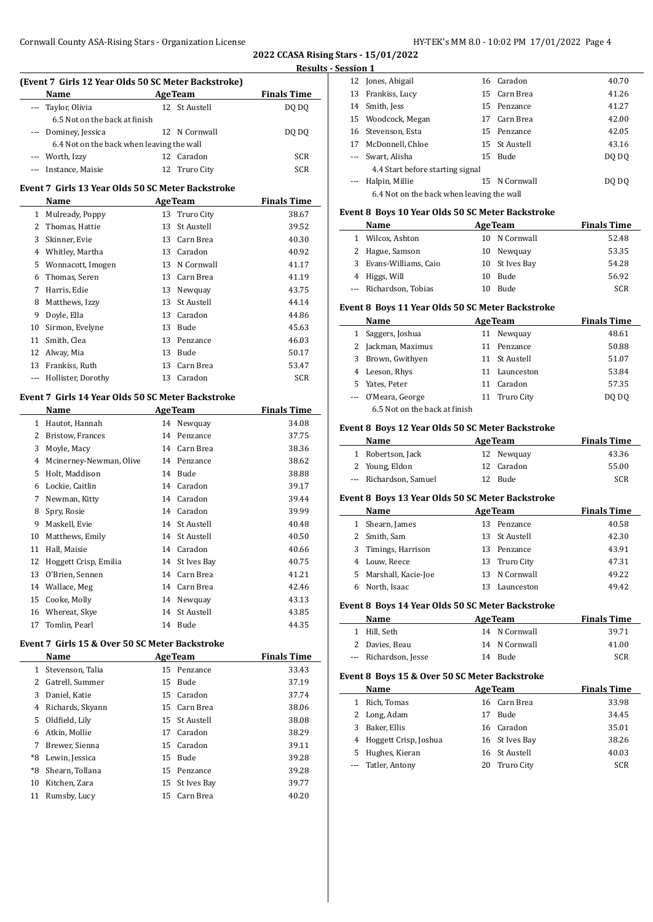**2022 CCASA Rising Stars - 15/01/2022 Results - Session 1**

 $\frac{1}{2}$ 

 $\frac{1}{2}$ 

 $\overline{\phantom{a}}$ 

 $\overline{a}$ 

|              | (Event 7 Girls 12 Year Olds 50 SC Meter Backstroke)<br>Name |          | <b>AgeTeam</b>                  | <b>Finals Time</b>          |
|--------------|-------------------------------------------------------------|----------|---------------------------------|-----------------------------|
| ---          | Taylor, Olivia                                              |          | 12 St Austell                   | DQ DQ                       |
|              | 6.5 Not on the back at finish                               |          |                                 |                             |
| ---          | Dominey, Jessica                                            |          | 12 N Cornwall                   | DQ DQ                       |
|              | 6.4 Not on the back when leaving the wall                   |          |                                 |                             |
| ---          | Worth, Izzy                                                 | 12       | Caradon                         | SCR                         |
| ---          | Instance, Maisie                                            | 12       | Truro City                      | SCR                         |
|              | Event 7  Girls 13 Year Olds 50 SC Meter Backstroke          |          |                                 |                             |
|              | Name                                                        |          | <b>AgeTeam</b>                  | <b>Finals Time</b>          |
| 1            | Mulready, Poppy                                             | 13       | Truro City                      | 38.67                       |
| 2            | Thomas, Hattie                                              | 13       | St Austell                      | 39.52                       |
| 3            | Skinner, Evie                                               | 13       | Carn Brea                       | 40.30                       |
|              | 4 Whitley, Martha                                           |          | 13 Caradon                      | 40.92                       |
| 5            | Wonnacott, Imogen                                           |          | 13 N Cornwall                   | 41.17                       |
| 6            | Thomas, Seren                                               |          | 13 Carn Brea                    | 41.19                       |
| 7            | Harris, Edie                                                |          | 13 Newquay                      | 43.75                       |
| 8            | Matthews, Izzy                                              | 13       | St Austell                      | 44.14                       |
| 9            | Doyle, Ella                                                 | 13       | Caradon                         | 44.86                       |
| 10           | Sirmon, Evelyne                                             | 13       | <b>Bude</b>                     | 45.63                       |
| 11           | Smith, Clea                                                 | 13       | Penzance                        | 46.03                       |
| 12           | Alway, Mia                                                  | 13       | Bude                            | 50.17                       |
| 13           | Frankiss, Ruth                                              | 13       | Carn Brea                       | 53.47                       |
|              | --- Hollister, Dorothy                                      | 13       | Caradon                         | SCR                         |
|              |                                                             |          |                                 |                             |
|              | Event 7 Girls 14 Year Olds 50 SC Meter Backstroke           |          |                                 |                             |
|              | Name<br>1 Hautot, Hannah                                    |          | <b>AgeTeam</b>                  | <b>Finals Time</b><br>34.08 |
|              | 2 Bristow, Frances                                          |          | 14 Newquay<br>14 Penzance       | 37.75                       |
| 3            |                                                             |          | 14 Carn Brea                    |                             |
| 4            | Moyle, Macy                                                 |          |                                 | 38.36                       |
| 5            | Mcinerney-Newman, Olive                                     |          | 14 Penzance<br>14 Bude          | 38.62                       |
|              | Holt, Maddison                                              |          |                                 | 38.88                       |
| 6<br>7       | Lockie, Caitlin                                             |          | 14 Caradon<br>14 Caradon        | 39.17                       |
|              | Newman, Kitty<br>Spry, Rosie                                |          | 14 Caradon                      | 39.44                       |
| 8            | Maskell, Evie                                               | 14       |                                 | 39.99                       |
| 9<br>10      |                                                             | 14       | St Austell<br><b>St Austell</b> | 40.48                       |
|              | Matthews, Emily                                             |          | 14 Caradon                      | 40.50                       |
| 11           | Hall, Maisie                                                |          | 14 St Ives Bay                  | 40.66                       |
|              | 12 Hoggett Crisp, Emilia                                    |          |                                 | 40.75                       |
| 13           | O'Brien, Sennen                                             | 14       | Carn Brea                       | 41.21                       |
| 14           | Wallace, Meg                                                | 14       | Carn Brea                       | 42.46                       |
| 15           | Cooke, Molly                                                |          | 14 Newquay                      | 43.13                       |
| 16<br>17     | Whereat, Skye                                               | 14       | St Austell<br>14 Bude           | 43.85                       |
|              | Tomlin, Pearl                                               |          |                                 | 44.35                       |
|              | Event 7  Girls 15 & Over 50 SC Meter Backstroke             |          |                                 |                             |
| $\mathbf{1}$ | Name<br>Stevenson, Talia                                    | 15       | <b>AgeTeam</b><br>Penzance      | <b>Finals Time</b><br>33.43 |
| 2            | Gatrell, Summer                                             | 15       | Bude                            | 37.19                       |
| 3            | Daniel, Katie                                               | 15       | Caradon                         | 37.74                       |
| 4            | Richards, Skyann                                            | 15       | Carn Brea                       | 38.06                       |
|              |                                                             | 15       |                                 |                             |
|              | Oldfield, Lily                                              |          | St Austell                      | 38.08                       |
| 5            |                                                             | 17       | Caradon<br>Caradon              | 38.29<br>39.11              |
| 6            | Atkin, Mollie                                               |          |                                 |                             |
| 7            | Brewer, Sienna                                              | 15       |                                 |                             |
| *8           | Lewin, Jessica                                              | 15       | Bude                            | 39.28                       |
| *8           | Shearn, Tollana                                             | 15       | Penzance                        | 39.28                       |
| 10<br>11     | Kitchen, Zara<br>Rumsby, Lucy                               | 15<br>15 | St Ives Bay<br>Carn Brea        | 39.77<br>40.20              |

| 331VII 1 |                                           |               |       |
|----------|-------------------------------------------|---------------|-------|
|          | 12 Jones, Abigail                         | 16 Caradon    | 40.70 |
|          | 13 Frankiss, Lucy                         | 15 Carn Brea  | 41.26 |
|          | 14 Smith, Jess                            | 15 Penzance   | 41.27 |
|          | 15 Woodcock, Megan                        | 17 Carn Brea  | 42.00 |
|          | 16 Stevenson, Esta                        | 15 Penzance   | 42.05 |
|          | 17 McDonnell, Chloe                       | 15 St Austell | 43.16 |
| $\cdots$ | Swart, Alisha                             | 15 Bude       | DO DO |
|          | 4.4 Start before starting signal          |               |       |
|          | Halpin, Millie                            | 15 N Cornwall | DO DO |
|          | 6.4 Not on the back when leaving the wall |               |       |
|          |                                           |               |       |

## **Event 8 Boys 10 Year Olds 50 SC Meter Backstroke**

|   | Name                   |     | <b>AgeTeam</b> | <b>Finals Time</b> |
|---|------------------------|-----|----------------|--------------------|
| 1 | Wilcox, Ashton         |     | 10 N Cornwall  | 52.48              |
|   | 2 Hague, Samson        |     | 10 Newquay     | 53.35              |
|   | 3 Evans-Williams, Caio |     | 10 St Ives Bay | 54.28              |
|   | 4 Higgs, Will          | 10. | Bude           | 56.92              |
|   | --- Richardson, Tobias | 10  | <b>Bude</b>    | <b>SCR</b>         |

# **Event 8 Boys 11 Year Olds 50 SC Meter Backstroke**

|   | Name                          | <b>AgeTeam</b> |               | <b>Finals Time</b> |
|---|-------------------------------|----------------|---------------|--------------------|
|   | Saggers, Joshua               | 11             | Newguay       | 48.61              |
|   | Jackman, Maximus              | 11             | Penzance      | 50.88              |
| 3 | Brown, Gwithyen               |                | 11 St Austell | 51.07              |
| 4 | Leeson, Rhys                  |                | 11 Launceston | 53.84              |
| 5 | Yates, Peter                  | 11             | Caradon       | 57.35              |
|   | --- O'Meara, George           |                | 11 Truro City | DO DO              |
|   | 6.5 Not on the back at finish |                |               |                    |

## **Event 8 Boys 12 Year Olds 50 SC Meter Backstroke**

| Name                   | <b>AgeTeam</b> |            | <b>Finals Time</b> |
|------------------------|----------------|------------|--------------------|
| 1 Robertson, Jack      |                | 12 Newquay | 43.36              |
| 2 Young, Eldon         |                | 12 Caradon | 55.00              |
| --- Richardson, Samuel | 12.            | Bude       | SCR                |

#### **Event 8 Boys 13 Year Olds 50 SC Meter Backstroke**

|   | <b>Name</b>           | <b>AgeTeam</b> |               | <b>Finals Time</b> |
|---|-----------------------|----------------|---------------|--------------------|
| 1 | Shearn, James         | 13             | Penzance      | 40.58              |
| 2 | Smith, Sam            |                | 13 St Austell | 42.30              |
|   | 3 Timings, Harrison   | 13.            | Penzance      | 43.91              |
|   | Louw, Reece           |                | 13 Truro City | 47.31              |
|   | 5 Marshall, Kacie-Joe |                | 13 N Cornwall | 49.22              |
|   | North, Isaac          |                | Launceston    | 49.42              |
|   |                       |                |               |                    |

## **Event 8 Boys 14 Year Olds 50 SC Meter Backstroke**

| Name                  | <b>AgeTeam</b> | <b>Finals Time</b> |
|-----------------------|----------------|--------------------|
| 1 Hill. Seth          | 14 N Cornwall  | 39.71              |
| 2 Davies. Beau        | 14 N Cornwall  | 41.00              |
| --- Richardson, Jesse | 14 Bude        | <b>SCR</b>         |

## **Event 8 Boys 15 & Over 50 SC Meter Backstroke**

|    | Name                    | <b>AgeTeam</b> |                | <b>Finals Time</b> |
|----|-------------------------|----------------|----------------|--------------------|
|    | Rich, Tomas             |                | 16 Carn Brea   | 33.98              |
|    | 2 Long, Adam            | 17             | <b>Bude</b>    | 34.45              |
| 3. | Baker, Ellis            |                | 16 Caradon     | 35.01              |
|    | 4 Hoggett Crisp, Joshua |                | 16 St Ives Bay | 38.26              |
| 5. | Hughes, Kieran          |                | 16 St Austell  | 40.03              |
|    | --- Tatler, Antony      |                | 20 Truro City  | <b>SCR</b>         |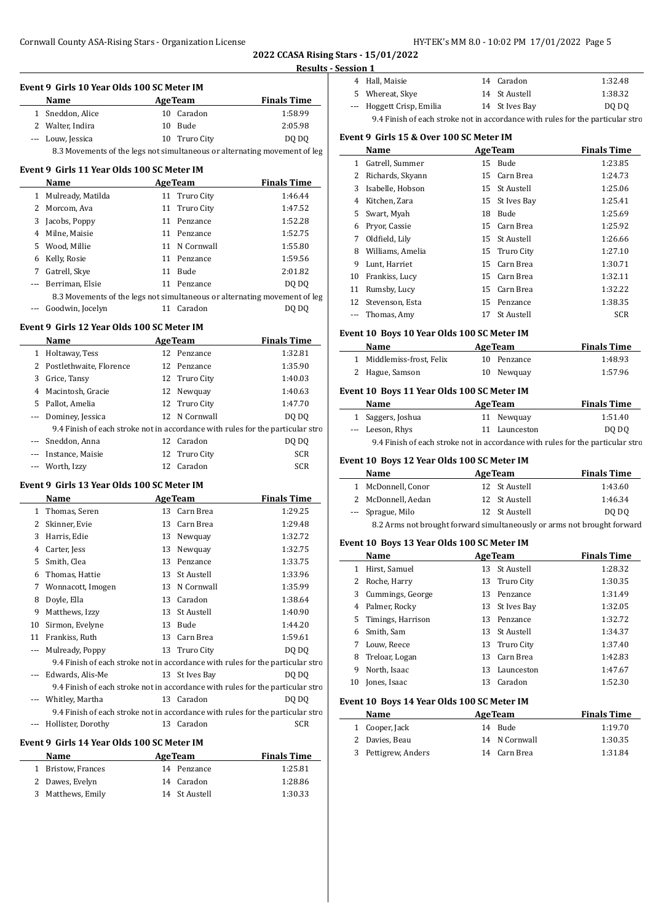**2022 CCASA Rising Stars - 15/01/2022 Results - Session 1**

|                          | Event 9 Girls 10 Year Olds 100 SC Meter IM |                |                              |                                                                                | ÷<br>5         |
|--------------------------|--------------------------------------------|----------------|------------------------------|--------------------------------------------------------------------------------|----------------|
|                          | Name<br>AgeTeam                            |                |                              | <b>Finals Time</b>                                                             |                |
|                          | 1 Sneddon, Alice                           |                | 10 Caradon                   | 1:58.99                                                                        |                |
|                          | 2 Walter, Indira                           |                | 10 Bude                      | 2:05.98                                                                        |                |
|                          | --- Louw, Jessica                          |                | 10 Truro City                | DQ DQ                                                                          | <b>Event</b>   |
|                          |                                            |                |                              | 8.3 Movements of the legs not simultaneous or alternating movement of leg      |                |
|                          | Event 9 Girls 11 Year Olds 100 SC Meter IM |                |                              |                                                                                | $\mathbf{1}$   |
|                          | Name                                       | <b>AgeTeam</b> |                              | <b>Finals Time</b>                                                             | 2              |
|                          | 1 Mulready, Matilda                        |                | 11 Truro City                | 1:46.44                                                                        | 3              |
|                          |                                            |                |                              |                                                                                | 4              |
|                          | 2 Morcom, Ava                              |                | 11 Truro City<br>11 Penzance | 1:47.52<br>1:52.28                                                             | 5              |
|                          | 3 Jacobs, Poppy                            |                |                              |                                                                                | 6              |
|                          | 4 Milne, Maisie                            |                | 11 Penzance                  | 1:52.75                                                                        | 7              |
|                          | 5 Wood, Millie                             |                | 11 N Cornwall                | 1:55.80                                                                        | 8              |
|                          | 6 Kelly, Rosie                             |                | 11 Penzance                  | 1:59.56                                                                        | 9              |
|                          | 7 Gatrell, Skye                            |                | 11 Bude                      | 2:01.82                                                                        | 10             |
| ---                      | Berriman, Elsie                            |                | 11 Penzance                  | DQ DQ                                                                          | 11             |
|                          |                                            |                |                              | 8.3 Movements of the legs not simultaneous or alternating movement of leg      | 12             |
|                          | --- Goodwin, Jocelyn                       |                | 11 Caradon                   | DQ DQ                                                                          |                |
|                          | Event 9 Girls 12 Year Olds 100 SC Meter IM |                |                              |                                                                                |                |
|                          | Name<br><b>AgeTeam</b>                     |                |                              | <b>Finals Time</b>                                                             | <b>Event</b>   |
|                          | 1 Holtaway, Tess                           |                | 12 Penzance                  | 1:32.81                                                                        |                |
|                          | 2 Postlethwaite, Florence                  |                | 12 Penzance                  | 1:35.90                                                                        | $\mathbf{1}$   |
|                          | 3 Grice, Tansy                             |                | 12 Truro City                | 1:40.03                                                                        | $\mathbf{2}$   |
|                          | 4 Macintosh, Gracie                        |                | 12 Newquay                   | 1:40.63                                                                        | Event:         |
|                          | 5 Pallot, Amelia                           |                | 12 Truro City                | 1:47.70                                                                        |                |
|                          | --- Dominey, Jessica                       |                | 12 N Cornwall                | DQ DQ                                                                          | 1              |
|                          |                                            |                |                              | 9.4 Finish of each stroke not in accordance with rules for the particular stro |                |
| $---$                    | Sneddon, Anna                              |                | 12 Caradon                   | DQ DQ                                                                          |                |
|                          | --- Instance, Maisie                       |                | 12 Truro City                | SCR                                                                            |                |
| ---                      | Worth, Izzy                                |                | 12 Caradon                   | SCR                                                                            | <b>Event</b>   |
|                          |                                            |                |                              |                                                                                |                |
|                          | Event 9 Girls 13 Year Olds 100 SC Meter IM |                |                              |                                                                                | 1              |
|                          | Name<br><b>Example 2</b> Age Team          |                |                              | <b>Finals Time</b>                                                             | $\mathbf{2}$   |
|                          | 1 Thomas, Seren                            |                | 13 Carn Brea                 | 1:29.25                                                                        |                |
|                          | 2 Skinner, Evie                            |                | 13 Carn Brea                 | 1:29.48                                                                        |                |
|                          | 3 Harris, Edie                             |                | 13 Newquay                   | 1:32.72                                                                        | <b>Event</b>   |
|                          | 4 Carter, Jess                             |                | 13 Newquay                   | 1:32.75                                                                        |                |
|                          | 5 Smith, Clea                              |                | 13 Penzance                  | 1:33.75                                                                        | $\mathbf{1}$   |
|                          | 6 Thomas, Hattie                           |                | 13 St Austell                | 1:33.96                                                                        | 2              |
|                          | 7 Wonnacott, Imogen                        |                | 13 N Cornwall                | 1:35.99                                                                        | 3              |
| 8                        | Doyle, Ella                                |                | 13 Caradon                   | 1:38.64                                                                        | $\overline{4}$ |
|                          | 9 Matthews, Izzy                           |                | 13 St Austell                | 1:40.90                                                                        | 5              |
| 10                       | Sirmon, Evelyne                            |                | 13 Bude                      | 1:44.20                                                                        | 6              |
|                          | 11 Frankiss, Ruth                          |                | 13 Carn Brea                 | 1:59.61                                                                        | 7              |
| ---                      | Mulready, Poppy                            |                | 13 Truro City                | DO DO                                                                          | 8              |
|                          |                                            |                |                              | 9.4 Finish of each stroke not in accordance with rules for the particular stro | 9              |
| $\overline{\phantom{a}}$ | Edwards, Alis-Me                           |                | 13 St Ives Bay               | DQ DQ                                                                          | 10             |
|                          |                                            |                |                              | 9.4 Finish of each stroke not in accordance with rules for the particular stro |                |
|                          | Whitley, Martha                            |                | 13 Caradon                   | DQ DQ                                                                          | <b>Event</b>   |
|                          |                                            |                |                              | 9.4 Finish of each stroke not in accordance with rules for the particular stro |                |
|                          | Hollister, Dorothy                         |                | 13 Caradon                   | SCR                                                                            | 1              |

## **Event 9 Girls 14 Year Olds 100 SC Meter IM**

 $\overline{a}$ 

| <b>Name</b>        | <b>AgeTeam</b> | <b>Finals Time</b> |
|--------------------|----------------|--------------------|
| 1 Bristow, Frances | 14 Penzance    | 1:25.81            |
| 2 Dawes, Evelyn    | 14 Caradon     | 1:28.86            |
| 3 Matthews, Emily  | 14 St Austell  | 1:30.33            |

| ,,,,,,, |                                                                                |  |                |         |  |
|---------|--------------------------------------------------------------------------------|--|----------------|---------|--|
|         | 4 Hall, Maisie                                                                 |  | 14 Caradon     | 1:32.48 |  |
|         | 5 Whereat, Skye                                                                |  | 14 St Austell  | 1:38.32 |  |
|         | --- Hoggett Crisp, Emilia                                                      |  | 14 St Ives Bay | DQ DQ   |  |
|         | 9.4 Finish of each stroke not in accordance with rules for the particular stro |  |                |         |  |

#### **Event 9 Girls 15 & Over 100 SC Meter IM**

|    | Name             |    | <b>AgeTeam</b>    | <b>Finals Time</b> |
|----|------------------|----|-------------------|--------------------|
| 1  | Gatrell, Summer  | 15 | Bude              | 1:23.85            |
| 2  | Richards, Skyann |    | 15 Carn Brea      | 1:24.73            |
| 3  | Isabelle, Hobson |    | 15 St Austell     | 1:25.06            |
| 4  | Kitchen, Zara    | 15 | St Ives Bay       | 1:25.41            |
| 5. | Swart, Myah      | 18 | Bude              | 1:25.69            |
| 6  | Prvor, Cassie    |    | 15 Carn Brea      | 1:25.92            |
| 7  | Oldfield, Lily   | 15 | <b>St Austell</b> | 1:26.66            |
| 8  | Williams, Amelia |    | 15 Truro City     | 1:27.10            |
| 9  | Lunt, Harriet    | 15 | Carn Brea         | 1:30.71            |
| 10 | Frankiss, Lucy   | 15 | Carn Brea         | 1:32.11            |
| 11 | Rumsby, Lucy     | 15 | Carn Brea         | 1:32.22            |
| 12 | Stevenson, Esta  | 15 | Penzance          | 1:38.35            |
|    | Thomas, Amy      | 17 | <b>St Austell</b> | <b>SCR</b>         |

## **Event 10 Boys 10 Year Olds 100 SC Meter IM**

| Name                      | <b>AgeTeam</b> | <b>Finals Time</b> |  |
|---------------------------|----------------|--------------------|--|
| 1 Middlemiss-frost, Felix | 10 Penzance    | 1:48.93            |  |
| 2 Hague, Samson           | 10 Newguay     | 1:57.96            |  |

## **Event 10 Boys 11 Year Olds 100 SC Meter IM**

| Name                                              |  | <b>AgeTeam</b> |  |                   | <b>Finals Time</b> |
|---------------------------------------------------|--|----------------|--|-------------------|--------------------|
| 1 Saggers, Joshua                                 |  | 11 Newguay     |  |                   | 1:51.40            |
| --- Leeson, Rhys                                  |  | 11 Launceston  |  |                   | DO DO              |
| $\alpha$ $\alpha$ $\beta$ $\beta$ $\beta$ $\beta$ |  |                |  | $\cdots$ $\cdots$ |                    |

9.4 Finish of each stroke not in accordance with rules for the particular stro

## **Event 10 Boys 12 Year Olds 100 SC Meter IM**

| Name               | <b>AgeTeam</b> | <b>Finals Time</b> |
|--------------------|----------------|--------------------|
| McDonnell, Conor   | 12 St Austell  | 1:43.60            |
| 2 McDonnell, Aedan | 12 St Austell  | 1:46.34            |
| --- Sprague, Milo  | 12 St Austell  | DO DO              |

8.2 Arms not brought forward simultaneously or arms not brought forward

## **Event 10 Boys 13 Year Olds 100 SC Meter IM**

|    | Name                |    | <b>AgeTeam</b> | <b>Finals Time</b> |
|----|---------------------|----|----------------|--------------------|
| 1  | Hirst, Samuel       | 13 | - St Austell   | 1:28.32            |
|    | Roche, Harry        | 13 | Truro City     | 1:30.35            |
| 3  | Cummings, George    | 13 | Penzance       | 1:31.49            |
| 4  | Palmer, Rocky       |    | 13 St Ives Bay | 1:32.05            |
|    | 5 Timings, Harrison | 13 | Penzance       | 1:32.72            |
| 6  | Smith, Sam          | 13 | - St Austell   | 1:34.37            |
|    | Louw, Reece         | 13 | Truro City     | 1:37.40            |
| 8  | Treloar, Logan      | 13 | Carn Brea      | 1:42.83            |
| 9  | North, Isaac        | 13 | Launceston     | 1:47.67            |
| 10 | Jones, Isaac        | 13 | Caradon        | 1:52.30            |

## **Event 10 Boys 14 Year Olds 100 SC Meter IM**

| <b>Name</b>         | <b>AgeTeam</b> | <b>Finals Time</b> |
|---------------------|----------------|--------------------|
| 1 Cooper, Jack      | 14 Bude        | 1:19.70            |
| 2 Davies, Beau      | 14 N Cornwall  | 1:30.35            |
| 3 Pettigrew, Anders | 14 Carn Brea   | 1:31.84            |